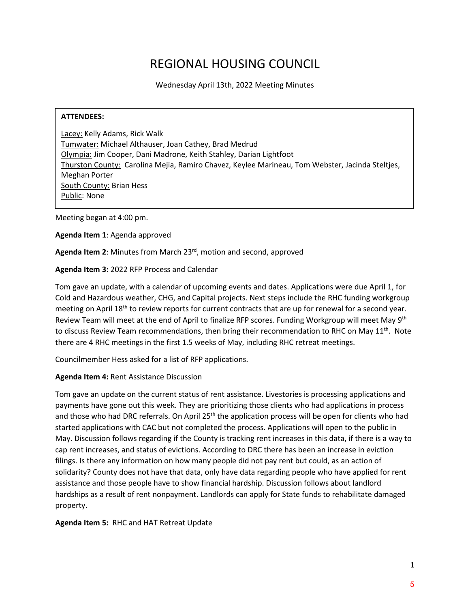# REGIONAL HOUSING COUNCIL

Wednesday April 13th, 2022 Meeting Minutes

#### **ATTENDEES:**

Lacey: Kelly Adams, Rick Walk Tumwater: Michael Althauser, Joan Cathey, Brad Medrud Olympia: Jim Cooper, Dani Madrone, Keith Stahley, Darian Lightfoot Thurston County: Carolina Mejia, Ramiro Chavez, Keylee Marineau, Tom Webster, Jacinda Steltjes, Meghan Porter South County: Brian Hess Public: None

Meeting began at 4:00 pm.

**Agenda Item 1**: Agenda approved

**Agenda Item 2**: Minutes from March 23rd, motion and second, approved

#### **Agenda Item 3:** 2022 RFP Process and Calendar

Tom gave an update, with a calendar of upcoming events and dates. Applications were due April 1, for Cold and Hazardous weather, CHG, and Capital projects. Next steps include the RHC funding workgroup meeting on April  $18<sup>th</sup>$  to review reports for current contracts that are up for renewal for a second year. Review Team will meet at the end of April to finalize RFP scores. Funding Workgroup will meet May 9<sup>th</sup> to discuss Review Team recommendations, then bring their recommendation to RHC on May 11<sup>th</sup>. Note there are 4 RHC meetings in the first 1.5 weeks of May, including RHC retreat meetings.

Councilmember Hess asked for a list of RFP applications.

## **Agenda Item 4:** Rent Assistance Discussion

Tom gave an update on the current status of rent assistance. Livestories is processing applications and payments have gone out this week. They are prioritizing those clients who had applications in process and those who had DRC referrals. On April 25<sup>th</sup> the application process will be open for clients who had started applications with CAC but not completed the process. Applications will open to the public in May. Discussion follows regarding if the County is tracking rent increases in this data, if there is a way to cap rent increases, and status of evictions. According to DRC there has been an increase in eviction filings. Is there any information on how many people did not pay rent but could, as an action of solidarity? County does not have that data, only have data regarding people who have applied for rent assistance and those people have to show financial hardship. Discussion follows about landlord hardships as a result of rent nonpayment. Landlords can apply for State funds to rehabilitate damaged property.

#### **Agenda Item 5:** RHC and HAT Retreat Update